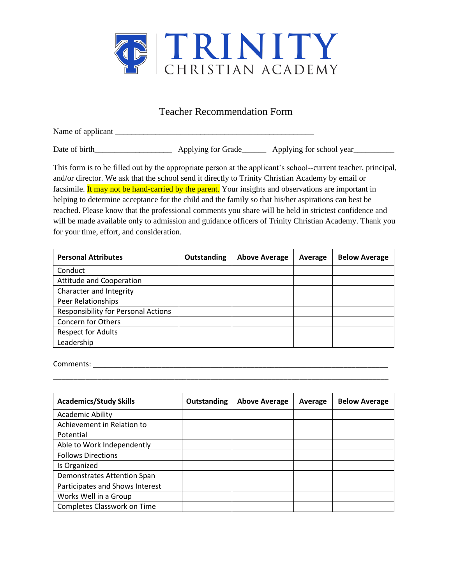

## Teacher Recommendation Form

Name of applicant

Date of birth\_\_\_\_\_\_\_\_\_\_\_\_\_\_\_\_\_\_\_\_\_\_\_\_\_\_\_ Applying for Grade\_\_\_\_\_\_\_\_\_\_ Applying for school year\_\_\_\_\_\_\_\_\_\_\_\_\_\_\_

This form is to be filled out by the appropriate person at the applicant's school--current teacher, principal, and/or director. We ask that the school send it directly to Trinity Christian Academy by email or facsimile. It may not be hand-carried by the parent. Your insights and observations are important in helping to determine acceptance for the child and the family so that his/her aspirations can best be reached. Please know that the professional comments you share will be held in strictest confidence and will be made available only to admission and guidance officers of Trinity Christian Academy. Thank you for your time, effort, and consideration.

| <b>Personal Attributes</b>                 | Outstanding | <b>Above Average</b> | Average | <b>Below Average</b> |
|--------------------------------------------|-------------|----------------------|---------|----------------------|
| Conduct                                    |             |                      |         |                      |
| Attitude and Cooperation                   |             |                      |         |                      |
| Character and Integrity                    |             |                      |         |                      |
| Peer Relationships                         |             |                      |         |                      |
| <b>Responsibility for Personal Actions</b> |             |                      |         |                      |
| <b>Concern for Others</b>                  |             |                      |         |                      |
| <b>Respect for Adults</b>                  |             |                      |         |                      |
| Leadership                                 |             |                      |         |                      |

Comments: \_\_\_\_\_\_\_\_\_\_\_\_\_\_\_\_\_\_\_\_\_\_\_\_\_\_\_\_\_\_\_\_\_\_\_\_\_\_\_\_\_\_\_\_\_\_\_\_\_\_\_\_\_\_\_\_\_\_\_\_\_\_\_\_\_\_\_\_\_\_\_\_\_

| <b>Academics/Study Skills</b>   | <b>Outstanding</b> | <b>Above Average</b> | Average | <b>Below Average</b> |
|---------------------------------|--------------------|----------------------|---------|----------------------|
| <b>Academic Ability</b>         |                    |                      |         |                      |
| Achievement in Relation to      |                    |                      |         |                      |
| Potential                       |                    |                      |         |                      |
| Able to Work Independently      |                    |                      |         |                      |
| <b>Follows Directions</b>       |                    |                      |         |                      |
| Is Organized                    |                    |                      |         |                      |
| Demonstrates Attention Span     |                    |                      |         |                      |
| Participates and Shows Interest |                    |                      |         |                      |
| Works Well in a Group           |                    |                      |         |                      |
| Completes Classwork on Time     |                    |                      |         |                      |

\_\_\_\_\_\_\_\_\_\_\_\_\_\_\_\_\_\_\_\_\_\_\_\_\_\_\_\_\_\_\_\_\_\_\_\_\_\_\_\_\_\_\_\_\_\_\_\_\_\_\_\_\_\_\_\_\_\_\_\_\_\_\_\_\_\_\_\_\_\_\_\_\_\_\_\_\_\_\_\_\_\_\_